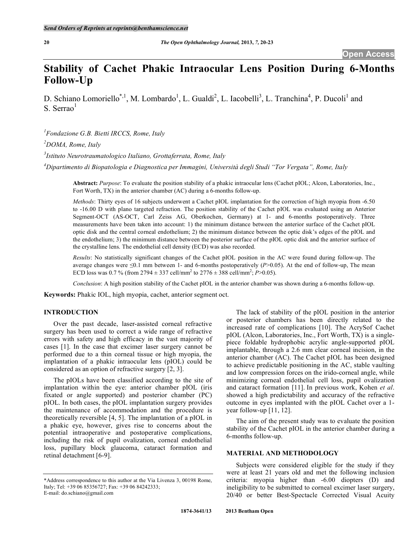# **Stability of Cachet Phakic Intraocular Lens Position During 6-Months Follow-Up**

D. Schiano Lomoriello<sup>\*,1</sup>, M. Lombardo<sup>1</sup>, L. Gualdi<sup>2</sup>, L. Iacobelli<sup>3</sup>, L. Tranchina<sup>4</sup>, P. Ducoli<sup>1</sup> and  $S. Serrao<sup>1</sup>$ 

*1 Fondazione G.B. Bietti IRCCS, Rome, Italy* 

*2 DOMA, Rome, Italy* 

*3 Istituto Neurotraumatologico Italiano, Grottaferrata, Rome, Italy* 

*4 Dipartimento di Biopatologia e Diagnostica per Immagini, Università degli Studi "Tor Vergata", Rome, Italy* 

**Abstract:** *Purpose*: To evaluate the position stability of a phakic intraocular lens (Cachet pIOL; Alcon, Laboratories, Inc., Fort Worth, TX) in the anterior chamber (AC) during a 6-months follow-up.

*Methods*: Thirty eyes of 16 subjects underwent a Cachet pIOL implantation for the correction of high myopia from -6.50 to -16.00 D with plano targeted refraction. The position stability of the Cachet pIOL was evaluated using an Anterior Segment-OCT (AS-OCT, Carl Zeiss AG, Oberkochen, Germany) at 1- and 6-months postoperatively. Three measurements have been taken into account: 1) the minimum distance between the anterior surface of the Cachet pIOL optic disk and the central corneal endothelium; 2) the minimum distance between the optic disk's edges of the pIOL and the endothelium; 3) the minimum distance between the posterior surface of the pIOL optic disk and the anterior surface of the crystalline lens. The endothelial cell density (ECD) was also recorded.

*Results*: No statistically significant changes of the Cachet pIOL position in the AC were found during follow-up. The average changes were  $\leq 0.1$  mm between 1- and 6-months postoperatively ( $P > 0.05$ ). At the end of follow-up, The mean ECD loss was 0.7 % (from  $2794 \pm 337$  cell/mm<sup>2</sup> to  $2776 \pm 388$  cell/mm<sup>2</sup>; *P*>0.05).

*Conclusion*: A high position stability of the Cachet pIOL in the anterior chamber was shown during a 6-months follow-up.

**Keywords:** Phakic IOL, high myopia, cachet, anterior segment oct.

## **INTRODUCTION**

 Over the past decade, laser-assisted corneal refractive surgery has been used to correct a wide range of refractive errors with safety and high efficacy in the vast majority of cases [1]. In the case that excimer laser surgery cannot be performed due to a thin corneal tissue or high myopia, the implantation of a phakic intraocular lens (pIOL) could be considered as an option of refractive surgery [2, 3].

 The pIOLs have been classified according to the site of implantation within the eye: anterior chamber pIOL (iris fixated or angle supported) and posterior chamber (PC) pIOL. In both cases, the pIOL implantation surgery provides the maintenance of accommodation and the procedure is theoretically reversible [4, 5]. The implantation of a pIOL in a phakic eye, however, gives rise to concerns about the potential intraoperative and postoperative complications, including the risk of pupil ovalization, corneal endothelial loss, pupillary block glaucoma, cataract formation and retinal detachment [6-9].

 The lack of stability of the pIOL position in the anterior or posterior chambers has been directly related to the increased rate of complications [10]. The AcrySof Cachet pIOL (Alcon, Laboratories, Inc., Fort Worth, TX) is a singlepiece foldable hydrophobic acrylic angle-supported pIOL implantable, through a 2.6 mm clear corneal incision, in the anterior chamber (AC). The Cachet pIOL has been designed to achieve predictable positioning in the AC, stable vaulting and low compression forces on the irido-corneal angle, while minimizing corneal endothelial cell loss, pupil ovalization and cataract formation [11]. In previous work, Kohen *et al*. showed a high predictability and accuracy of the refractive outcome in eyes implanted with the pIOL Cachet over a 1 year follow-up [11, 12].

 The aim of the present study was to evaluate the position stability of the Cachet pIOL in the anterior chamber during a 6-months follow-up.

# **MATERIAL AND METHODOLOGY**

 Subjects were considered eligible for the study if they were at least 21 years old and met the following inclusion criteria: myopia higher than -6.00 diopters (D) and ineligibility to be submitted to corneal excimer laser surgery, 20/40 or better Best-Spectacle Corrected Visual Acuity

<sup>\*</sup>Address correspondence to this author at the Via Livenza 3, 00198 Rome, Italy; Tel: +39 06 85356727; Fax: +39 06 84242333; E-mail: do.schiano@gmail.com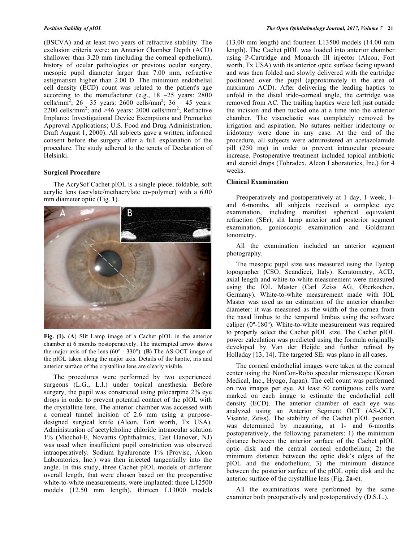(BSCVA) and at least two years of refractive stability. The exclusion criteria were: an Anterior Chamber Depth (ACD) shallower than 3.20 mm (including the corneal epithelium), history of ocular pathologies or previous ocular surgery, mesopic pupil diameter larger than 7.00 mm, refractive astigmatism higher than 2.00 D. The minimum endothelial cell density (ECD) count was related to the patient's age according to the manufacturer (e.g., 18 –25 years: 2800 cells/mm<sup>2</sup>; 26 -35 years: 2600 cells/mm<sup>2</sup>; 36 - 45 years: 2200 cells/mm<sup>2</sup>; and >46 years: 2000 cells/mm<sup>2</sup>; Refractive Implants: Investigational Device Exemptions and Premarket Approval Applications; U.S. Food and Drug Administration, Draft August 1, 2000). All subjects gave a written, informed consent before the surgery after a full explanation of the procedure. The study adhered to the tenets of Declaration of Helsinki.

# **Surgical Procedure**

 The AcrySof Cachet pIOL is a single-piece, foldable, soft acrylic lens (acrylate/methacrylate co-polymer) with a 6.00 mm diameter optic (Fig. **1**).



**Fig. (1).** (**A**) Slit Lamp image of a Cachet pIOL in the anterior chamber at 6 months postoperatively. The interrupted arrow shows the major axis of the lens (60° - 330°). (**B**) The AS-OCT image of the pIOL taken along the major axis. Details of the haptic, iris and anterior surface of the crystalline lens are clearly visible.

 The procedures were performed by two experienced surgeons (L.G., L.I.) under topical anesthesia. Before surgery, the pupil was constricted using pilocarpine 2% eye drops in order to prevent potential contact of the pIOL with the crystalline lens. The anterior chamber was accessed with a corneal tunnel incision of 2.6 mm using a purposedesigned surgical knife (Alcon, Fort worth, Tx USA). Administration of acetylcholine chloride intraocular solution 1% (Miochol-E, Novartis Ophthalmics, East Hanover, NJ) was used when insufficient pupil constriction was observed intraoperatively. Sodium hyaluronate 1% (Provisc, Alcon Laboratories, Inc.) was then injected tangentially into the angle. In this study, three Cachet pIOL models of different overall length, that were chosen based on the preoperative white-to-white measurements, were implanted: three L12500 models (12.50 mm length), thirteen L13000 models

(13.00 mm length) and fourteen L13500 models (14.00 mm length). The Cachet pIOL was loaded into anterior chamber using P-Cartridge and Monarch III injector (Alcon, Fort worth, Tx USA) with its anterior optic surface facing upward and was then folded and slowly delivered with the cartridge positioned over the pupil (approximately in the area of maximum ACD). After delivering the leading haptics to unfold in the distal irido-corneal angle, the cartridge was removed from AC. The trailing haptics were left just outside the incision and then tucked one at a time into the anterior chamber. The viscoelastic was completely removed by irrigation and aspiration. No sutures neither iridectomy or iridotomy were done in any case. At the end of the procedure, all subjects were administered an acetazolamide pill (250 mg) in order to prevent intraocular pressure increase. Postoperative treatment included topical antibiotic and steroid drops (Tobradex, Alcon Laboratories, Inc.) for 4 weeks.

#### **Clinical Examination**

 Preoperatively and postoperatively at 1 day, 1 week, 1 and 6-months, all subjects received a complete eye examination, including manifest spherical equivalent refraction (SEr), slit lamp anterior and posterior segment examination, gonioscopic examination and Goldmann tonometry.

 All the examination included an anterior segment photography.

 The mesopic pupil size was measured using the Eyetop topographer (CSO, Scandicci, Italy). Keratometry, ACD, axial length and white-to-white measurement were measured using the IOL Master (Carl Zeiss AG, Oberkochen, Germany). White-to-white measurement made with IOL Master was used as an estimation of the anterior chamber diameter: it was measured as the width of the cornea from the nasal limbus to the temporal limbus using the software caliper (0º-180º). White-to-white measurement was required to properly select the Cachet pIOL size. The Cachet pIOL power calculation was predicted using the formula originally developed by Van der Heijde and further refined by Holladay [13, 14]. The targeted SEr was plano in all cases.

 The corneal endothelial images were taken at the corneal center using the NonCon-Robo specular microscope (Konan Medical, Inc., Hyogo, Japan). The cell count was performed on two images per eye. At least 50 contiguous cells were marked on each image to estimate the endothelial cell density (ECD). The anterior chamber of each eye was analyzed using an Anterior Segment OCT (AS-OCT, Visante, Zeiss). The stability of the Cachet pIOL position was determined by measuring, at 1- and 6-months postoperatively, the following parameters: 1) the minimum distance between the anterior surface of the Cachet pIOL optic disk and the central corneal endothelium; 2) the minimum distance between the optic disk's edges of the pIOL and the endothelium; 3) the minimum distance between the posterior surface of the pIOL optic disk and the anterior surface of the crystalline lens (Fig. **2a-c**).

 All the examinations were performed by the same examiner both preoperatively and postoperatively (D.S.L.).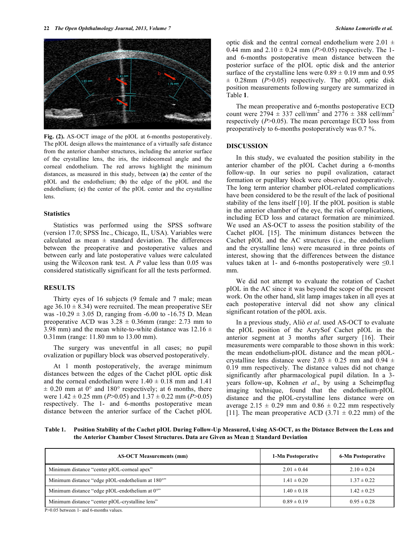

**Fig. (2).** AS-OCT image of the pIOL at 6-months postoperatively. The pIOL design allows the maintenance of a virtually safe distance from the anterior chamber structures, including the anterior surface of the crystalline lens, the iris, the iridocorneal angle and the corneal endothelium. The red arrows highlight the minimum distances, as measured in this study, between (**a**) the center of the pIOL and the endothelium; (**b**) the edge of the pIOL and the endothelium; (**c**) the center of the pIOL center and the crystalline lens.

# **Statistics**

 Statistics was performed using the SPSS software (version 17.0; SPSS Inc., Chicago, IL, USA). Variables were calculated as mean  $\pm$  standard deviation. The differences between the preoperative and postoperative values and between early and late postoperative values were calculated using the Wilcoxon rank test. A *P* value less than 0.05 was considered statistically significant for all the tests performed.

## **RESULTS**

 Thirty eyes of 16 subjects (9 female and 7 male; mean age  $36.10 \pm 8.34$ ) were recruited. The mean preoperative SEr was  $-10.29 \pm 3.05$  D, ranging from  $-6.00$  to  $-16.75$  D. Mean preoperative ACD was  $3.28 \pm 0.36$  mm (range: 2.73 mm to 3.98 mm) and the mean white-to-white distance was  $12.16 \pm$ 0.31mm (range: 11.80 mm to 13.00 mm).

 The surgery was uneventful in all cases; no pupil ovalization or pupillary block was observed postoperatively.

 At 1 month postoperatively, the average minimum distances between the edges of the Cachet pIOL optic disk and the corneal endothelium were  $1.40 \pm 0.18$  mm and  $1.41$  $\pm$  0.20 mm at 0° and 180° respectively; at 6 months, there were 1.42 ± 0.25 mm (*P*>0.05) and 1.37 ± 0.22 mm (*P*>0.05) respectively. The 1- and 6-months postoperative mean distance between the anterior surface of the Cachet pIOL optic disk and the central corneal endothelium were  $2.01 \pm$ 0.44 mm and  $2.10 \pm 0.24$  mm ( $P > 0.05$ ) respectively. The 1and 6-months postoperative mean distance between the posterior surface of the pIOL optic disk and the anterior surface of the crystalline lens were  $0.89 \pm 0.19$  mm and  $0.95$ ± 0.28mm (*P*>0.05) respectively. The pIOL optic disk position measurements following surgery are summarized in Table **1**.

 The mean preoperative and 6-months postoperative ECD count were  $2794 \pm 337$  cell/mm<sup>2</sup> and  $2776 \pm 388$  cell/mm<sup>2</sup> respectively (*P*>0.05). The mean percentage ECD loss from preoperatively to 6-months postoperatively was 0.7 %.

#### **DISCUSSION**

 In this study, we evaluated the position stability in the anterior chamber of the pIOL Cachet during a 6-months follow-up. In our series no pupil ovalization, cataract formation or pupillary block were observed postoperatively. The long term anterior chamber pIOL-related complications have been considered to be the result of the lack of positional stability of the lens itself [10]. If the pIOL position is stable in the anterior chamber of the eye, the risk of complications, including ECD loss and cataract formation are minimized. We used an AS-OCT to assess the position stability of the Cachet pIOL [15]. The minimum distances between the Cachet pIOL and the AC structures (i.e., the endothelium and the crystalline lens) were measured in three points of interest, showing that the differences between the distance values taken at 1- and 6-months postoperatively were  $\leq 0.1$ mm.

 We did not attempt to evaluate the rotation of Cachet pIOL in the AC since it was beyond the scope of the present work. On the other hand, slit lamp images taken in all eyes at each postoperative interval did not show any clinical significant rotation of the pIOL axis.

 In a previous study, Aliò *et al*. used AS-OCT to evaluate the pIOL position of the AcrySof Cachet pIOL in the anterior segment at 3 months after surgery [16]. Their measurements were comparable to those shown in this work: the mean endothelium-pIOL distance and the mean pIOLcrystalline lens distance were  $2.03 \pm 0.25$  mm and  $0.94 \pm 0.25$ 0.19 mm respectively. The distance values did not change significantly after pharmacological pupil dilation. In a 3 years follow-up, Kohnen *et al*., by using a Scheimpflug imaging technique, found that the endothelium-pIOL distance and the pIOL-crystalline lens distance were on average  $2.15 \pm 0.29$  mm and  $0.86 \pm 0.22$  mm respectively [11]. The mean preoperative ACD  $(3.71 \pm 0.22 \text{ mm})$  of the

**Table 1. Position Stability of the Cachet pIOL During Follow-Up Measured, Using AS-OCT, as the Distance Between the Lens and the Anterior Chamber Closest Structures. Data are Given as Mean** ± **Standard Deviation** 

| <b>AS-OCT Measurements (mm)</b>                                                                                                                                                                                                                                                  | 1-Mn Postoperative | 6-Mn Postoperative |
|----------------------------------------------------------------------------------------------------------------------------------------------------------------------------------------------------------------------------------------------------------------------------------|--------------------|--------------------|
| Minimum distance "center pIOL-corneal apex"                                                                                                                                                                                                                                      | $2.01 \pm 0.44$    | $2.10 \pm 0.24$    |
| Minimum distance "edge pIOL-endothelium at 180°"                                                                                                                                                                                                                                 | $1.41 \pm 0.20$    | $1.37 \pm 0.22$    |
| Minimum distance "edge pIOL-endothelium at 0°"                                                                                                                                                                                                                                   | $1.40 \pm 0.18$    | $1.42 \pm 0.25$    |
| Minimum distance "center pIOL-crystalline lens"<br>$P_1$ $Q_2$ $Q_3$ $Q_4$ $Q_5$ $Q_6$ $Q_7$ $Q_8$ $Q_9$ $Q_9$ $Q_9$ $Q_9$ $Q_9$ $Q_9$ $Q_9$ $Q_9$ $Q_9$ $Q_9$ $Q_9$ $Q_9$ $Q_9$ $Q_9$ $Q_9$ $Q_9$ $Q_9$ $Q_9$ $Q_9$ $Q_9$ $Q_9$ $Q_9$ $Q_9$ $Q_9$ $Q_9$ $Q_9$ $Q_9$ $Q_9$ $Q_9$ | $0.89 \pm 0.19$    | $0.95 \pm 0.28$    |

P>0.05 between 1- and 6-months values.